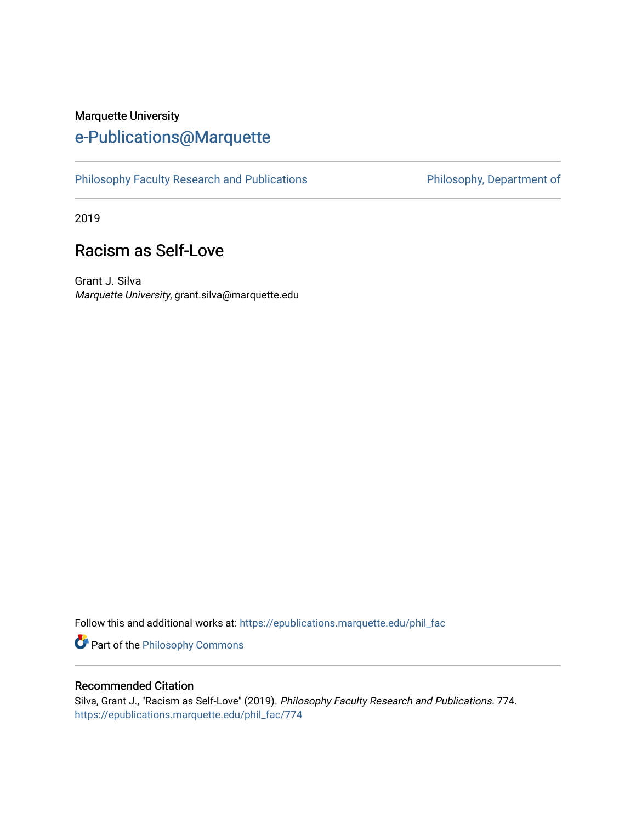### Marquette University [e-Publications@Marquette](https://epublications.marquette.edu/)

[Philosophy Faculty Research and Publications](https://epublications.marquette.edu/phil_fac) **Philosophy, Department of** 

2019

## Racism as Self-Love

Grant J. Silva Marquette University, grant.silva@marquette.edu

Follow this and additional works at: [https://epublications.marquette.edu/phil\\_fac](https://epublications.marquette.edu/phil_fac?utm_source=epublications.marquette.edu%2Fphil_fac%2F774&utm_medium=PDF&utm_campaign=PDFCoverPages)

**Part of the Philosophy Commons** 

#### Recommended Citation

Silva, Grant J., "Racism as Self-Love" (2019). Philosophy Faculty Research and Publications. 774. [https://epublications.marquette.edu/phil\\_fac/774](https://epublications.marquette.edu/phil_fac/774?utm_source=epublications.marquette.edu%2Fphil_fac%2F774&utm_medium=PDF&utm_campaign=PDFCoverPages)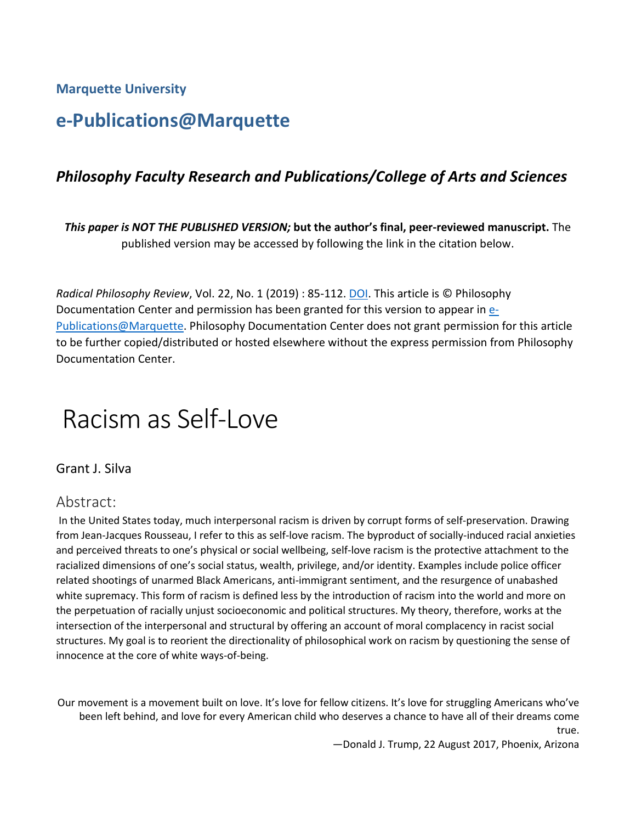**Marquette University**

# **e-Publications@Marquette**

#### *Philosophy Faculty Research and Publications/College of Arts and Sciences*

*This paper is NOT THE PUBLISHED VERSION;* **but the author's final, peer-reviewed manuscript.** The published version may be accessed by following the link in the citation below.

*Radical Philosophy Review, Vol.* 22, No. 1 (2019) : 85-112. **DOI. This article is © Philosophy** Documentation Center and permission has been granted for this version to appear in [e-](http://epublications.marquette.edu/)[Publications@Marquette.](http://epublications.marquette.edu/) Philosophy Documentation Center does not grant permission for this article to be further copied/distributed or hosted elsewhere without the express permission from Philosophy Documentation Center.

# Racism as Self-Love

Grant J. Silva

#### Abstract:

In the United States today, much interpersonal racism is driven by corrupt forms of self-preservation. Drawing from Jean-Jacques Rousseau, I refer to this as self-love racism. The byproduct of socially-induced racial anxieties and perceived threats to one's physical or social wellbeing, self-love racism is the protective attachment to the racialized dimensions of one's social status, wealth, privilege, and/or identity. Examples include police officer related shootings of unarmed Black Americans, anti-immigrant sentiment, and the resurgence of unabashed white supremacy. This form of racism is defined less by the introduction of racism into the world and more on the perpetuation of racially unjust socioeconomic and political structures. My theory, therefore, works at the intersection of the interpersonal and structural by offering an account of moral complacency in racist social structures. My goal is to reorient the directionality of philosophical work on racism by questioning the sense of innocence at the core of white ways-of-being.

Our movement is a movement built on love. It's love for fellow citizens. It's love for struggling Americans who've been left behind, and love for every American child who deserves a chance to have all of their dreams come

true.

—Donald J. Trump, 22 August 2017, Phoenix, Arizona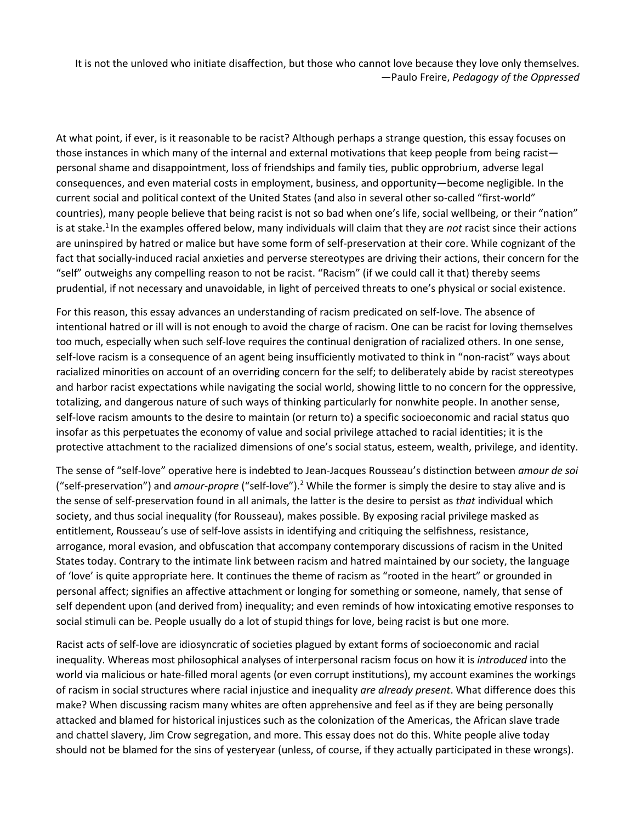It is not the unloved who initiate disaffection, but those who cannot love because they love only themselves. —Paulo Freire, *Pedagogy of the Oppressed*

At what point, if ever, is it reasonable to be racist? Although perhaps a strange question, this essay focuses on those instances in which many of the internal and external motivations that keep people from being racist personal shame and disappointment, loss of friendships and family ties, public opprobrium, adverse legal consequences, and even material costs in employment, business, and opportunity—become negligible. In the current social and political context of the United States (and also in several other so-called "first-world" countries), many people believe that being racist is not so bad when one's life, social wellbeing, or their "nation" is at stake.<sup>1</sup> In the examples offered below, many individuals will claim that they are *not* racist since their actions are uninspired by hatred or malice but have some form of self-preservation at their core. While cognizant of the fact that socially-induced racial anxieties and perverse stereotypes are driving their actions, their concern for the "self" outweighs any compelling reason to not be racist. "Racism" (if we could call it that) thereby seems prudential, if not necessary and unavoidable, in light of perceived threats to one's physical or social existence.

For this reason, this essay advances an understanding of racism predicated on self-love. The absence of intentional hatred or ill will is not enough to avoid the charge of racism. One can be racist for loving themselves too much, especially when such self-love requires the continual denigration of racialized others. In one sense, self-love racism is a consequence of an agent being insufficiently motivated to think in "non-racist" ways about racialized minorities on account of an overriding concern for the self; to deliberately abide by racist stereotypes and harbor racist expectations while navigating the social world, showing little to no concern for the oppressive, totalizing, and dangerous nature of such ways of thinking particularly for nonwhite people. In another sense, self-love racism amounts to the desire to maintain (or return to) a specific socioeconomic and racial status quo insofar as this perpetuates the economy of value and social privilege attached to racial identities; it is the protective attachment to the racialized dimensions of one's social status, esteem, wealth, privilege, and identity.

The sense of "self-love" operative here is indebted to Jean-Jacques Rousseau's distinction between *amour de soi*  ("self-preservation") and *amour-propre* ("self-love").2 While the former is simply the desire to stay alive and is the sense of self-preservation found in all animals, the latter is the desire to persist as *that* individual which society, and thus social inequality (for Rousseau), makes possible. By exposing racial privilege masked as entitlement, Rousseau's use of self-love assists in identifying and critiquing the selfishness, resistance, arrogance, moral evasion, and obfuscation that accompany contemporary discussions of racism in the United States today. Contrary to the intimate link between racism and hatred maintained by our society, the language of 'love' is quite appropriate here. It continues the theme of racism as "rooted in the heart" or grounded in personal affect; signifies an affective attachment or longing for something or someone, namely, that sense of self dependent upon (and derived from) inequality; and even reminds of how intoxicating emotive responses to social stimuli can be. People usually do a lot of stupid things for love, being racist is but one more.

Racist acts of self-love are idiosyncratic of societies plagued by extant forms of socioeconomic and racial inequality. Whereas most philosophical analyses of interpersonal racism focus on how it is *introduced* into the world via malicious or hate-filled moral agents (or even corrupt institutions), my account examines the workings of racism in social structures where racial injustice and inequality *are already present*. What difference does this make? When discussing racism many whites are often apprehensive and feel as if they are being personally attacked and blamed for historical injustices such as the colonization of the Americas, the African slave trade and chattel slavery, Jim Crow segregation, and more. This essay does not do this. White people alive today should not be blamed for the sins of yesteryear (unless, of course, if they actually participated in these wrongs).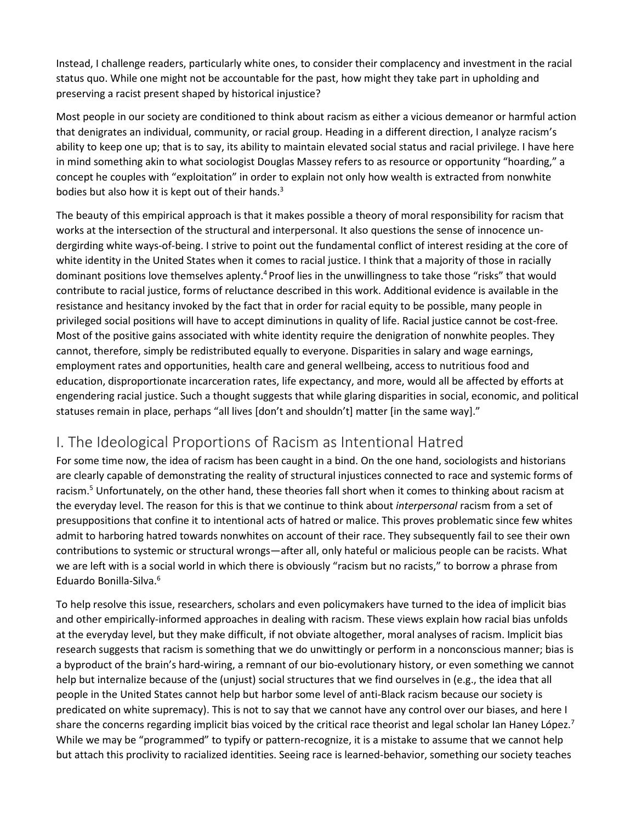Instead, I challenge readers, particularly white ones, to consider their complacency and investment in the racial status quo. While one might not be accountable for the past, how might they take part in upholding and preserving a racist present shaped by historical injustice?

Most people in our society are conditioned to think about racism as either a vicious demeanor or harmful action that denigrates an individual, community, or racial group. Heading in a different direction, I analyze racism's ability to keep one up; that is to say, its ability to maintain elevated social status and racial privilege. I have here in mind something akin to what sociologist Douglas Massey refers to as resource or opportunity "hoarding," a concept he couples with "exploitation" in order to explain not only how wealth is extracted from nonwhite bodies but also how it is kept out of their hands.<sup>3</sup>

The beauty of this empirical approach is that it makes possible a theory of moral responsibility for racism that works at the intersection of the structural and interpersonal. It also questions the sense of innocence undergirding white ways-of-being. I strive to point out the fundamental conflict of interest residing at the core of white identity in the United States when it comes to racial justice. I think that a majority of those in racially dominant positions love themselves aplenty.4 Proof lies in the unwillingness to take those "risks" that would contribute to racial justice, forms of reluctance described in this work. Additional evidence is available in the resistance and hesitancy invoked by the fact that in order for racial equity to be possible, many people in privileged social positions will have to accept diminutions in quality of life. Racial justice cannot be cost-free. Most of the positive gains associated with white identity require the denigration of nonwhite peoples. They cannot, therefore, simply be redistributed equally to everyone. Disparities in salary and wage earnings, employment rates and opportunities, health care and general wellbeing, access to nutritious food and education, disproportionate incarceration rates, life expectancy, and more, would all be affected by efforts at engendering racial justice. Such a thought suggests that while glaring disparities in social, economic, and political statuses remain in place, perhaps "all lives [don't and shouldn't] matter [in the same way]."

#### I. The Ideological Proportions of Racism as Intentional Hatred

For some time now, the idea of racism has been caught in a bind. On the one hand, sociologists and historians are clearly capable of demonstrating the reality of structural injustices connected to race and systemic forms of racism.<sup>5</sup> Unfortunately, on the other hand, these theories fall short when it comes to thinking about racism at the everyday level. The reason for this is that we continue to think about *interpersonal* racism from a set of presuppositions that confine it to intentional acts of hatred or malice. This proves problematic since few whites admit to harboring hatred towards nonwhites on account of their race. They subsequently fail to see their own contributions to systemic or structural wrongs—after all, only hateful or malicious people can be racists. What we are left with is a social world in which there is obviously "racism but no racists," to borrow a phrase from Eduardo Bonilla-Silva.6

To help resolve this issue, researchers, scholars and even policymakers have turned to the idea of implicit bias and other empirically-informed approaches in dealing with racism. These views explain how racial bias unfolds at the everyday level, but they make difficult, if not obviate altogether, moral analyses of racism. Implicit bias research suggests that racism is something that we do unwittingly or perform in a nonconscious manner; bias is a byproduct of the brain's hard-wiring, a remnant of our bio-evolutionary history, or even something we cannot help but internalize because of the (unjust) social structures that we find ourselves in (e.g., the idea that all people in the United States cannot help but harbor some level of anti-Black racism because our society is predicated on white supremacy). This is not to say that we cannot have any control over our biases, and here I share the concerns regarding implicit bias voiced by the critical race theorist and legal scholar Ian Haney López.<sup>7</sup> While we may be "programmed" to typify or pattern-recognize, it is a mistake to assume that we cannot help but attach this proclivity to racialized identities. Seeing race is learned-behavior, something our society teaches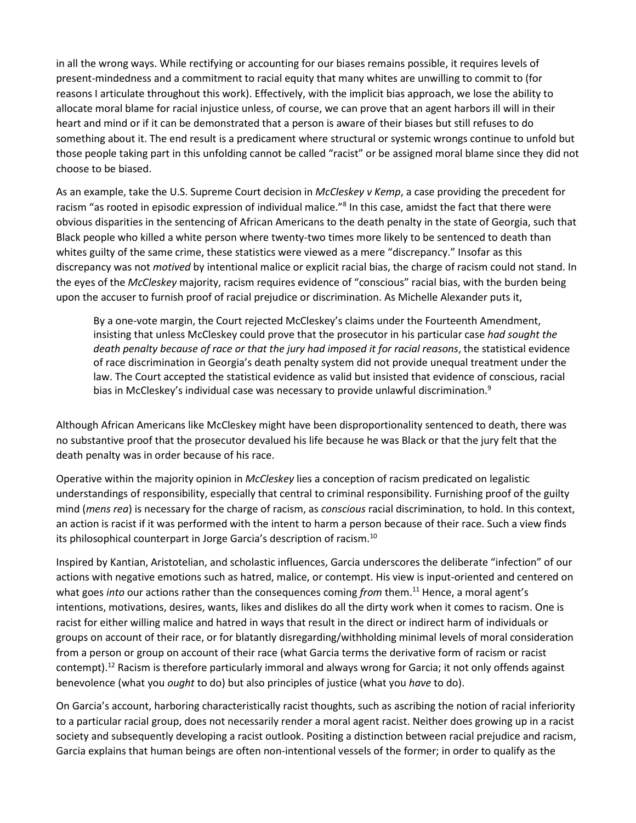in all the wrong ways. While rectifying or accounting for our biases remains possible, it requires levels of present-mindedness and a commitment to racial equity that many whites are unwilling to commit to (for reasons I articulate throughout this work). Effectively, with the implicit bias approach, we lose the ability to allocate moral blame for racial injustice unless, of course, we can prove that an agent harbors ill will in their heart and mind or if it can be demonstrated that a person is aware of their biases but still refuses to do something about it. The end result is a predicament where structural or systemic wrongs continue to unfold but those people taking part in this unfolding cannot be called "racist" or be assigned moral blame since they did not choose to be biased.

As an example, take the U.S. Supreme Court decision in *McCleskey v Kemp*, a case providing the precedent for racism "as rooted in episodic expression of individual malice."8 In this case, amidst the fact that there were obvious disparities in the sentencing of African Americans to the death penalty in the state of Georgia, such that Black people who killed a white person where twenty-two times more likely to be sentenced to death than whites guilty of the same crime, these statistics were viewed as a mere "discrepancy." Insofar as this discrepancy was not *motived* by intentional malice or explicit racial bias, the charge of racism could not stand. In the eyes of the *McCleskey* majority, racism requires evidence of "conscious" racial bias, with the burden being upon the accuser to furnish proof of racial prejudice or discrimination. As Michelle Alexander puts it,

By a one-vote margin, the Court rejected McCleskey's claims under the Fourteenth Amendment, insisting that unless McCleskey could prove that the prosecutor in his particular case *had sought the death penalty because of race or that the jury had imposed it for racial reasons*, the statistical evidence of race discrimination in Georgia's death penalty system did not provide unequal treatment under the law. The Court accepted the statistical evidence as valid but insisted that evidence of conscious, racial bias in McCleskey's individual case was necessary to provide unlawful discrimination. $9$ 

Although African Americans like McCleskey might have been disproportionality sentenced to death, there was no substantive proof that the prosecutor devalued his life because he was Black or that the jury felt that the death penalty was in order because of his race.

Operative within the majority opinion in *McCleskey* lies a conception of racism predicated on legalistic understandings of responsibility, especially that central to criminal responsibility. Furnishing proof of the guilty mind (*mens rea*) is necessary for the charge of racism, as *conscious* racial discrimination, to hold. In this context, an action is racist if it was performed with the intent to harm a person because of their race. Such a view finds its philosophical counterpart in Jorge Garcia's description of racism.10

Inspired by Kantian, Aristotelian, and scholastic influences, Garcia underscores the deliberate "infection" of our actions with negative emotions such as hatred, malice, or contempt. His view is input-oriented and centered on what goes *into* our actions rather than the consequences coming *from* them.11 Hence, a moral agent's intentions, motivations, desires, wants, likes and dislikes do all the dirty work when it comes to racism. One is racist for either willing malice and hatred in ways that result in the direct or indirect harm of individuals or groups on account of their race, or for blatantly disregarding/withholding minimal levels of moral consideration from a person or group on account of their race (what Garcia terms the derivative form of racism or racist contempt).<sup>12</sup> Racism is therefore particularly immoral and always wrong for Garcia; it not only offends against benevolence (what you *ought* to do) but also principles of justice (what you *have* to do).

On Garcia's account, harboring characteristically racist thoughts, such as ascribing the notion of racial inferiority to a particular racial group, does not necessarily render a moral agent racist. Neither does growing up in a racist society and subsequently developing a racist outlook. Positing a distinction between racial prejudice and racism, Garcia explains that human beings are often non-intentional vessels of the former; in order to qualify as the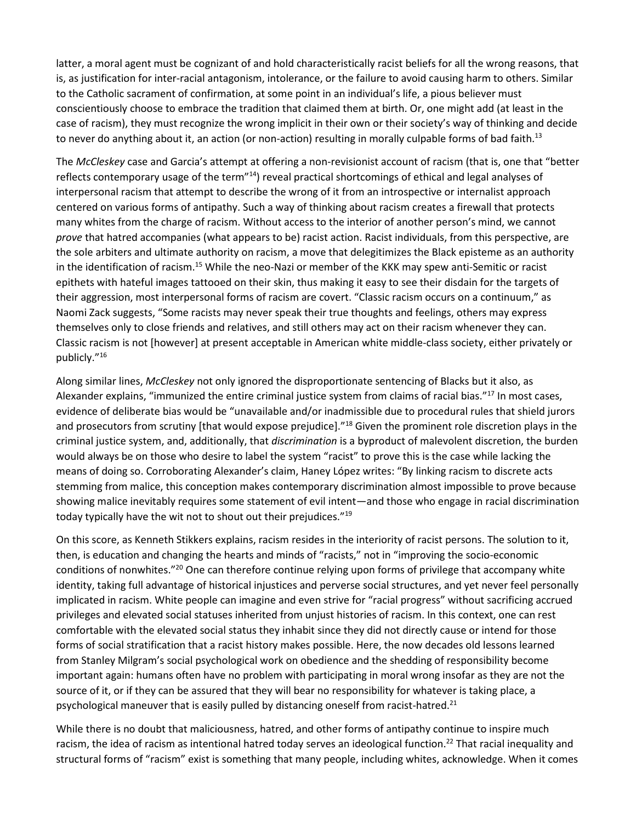latter, a moral agent must be cognizant of and hold characteristically racist beliefs for all the wrong reasons, that is, as justification for inter-racial antagonism, intolerance, or the failure to avoid causing harm to others. Similar to the Catholic sacrament of confirmation, at some point in an individual's life, a pious believer must conscientiously choose to embrace the tradition that claimed them at birth. Or, one might add (at least in the case of racism), they must recognize the wrong implicit in their own or their society's way of thinking and decide to never do anything about it, an action (or non-action) resulting in morally culpable forms of bad faith.<sup>13</sup>

The *McCleskey* case and Garcia's attempt at offering a non-revisionist account of racism (that is, one that "better reflects contemporary usage of the term"<sup>14</sup>) reveal practical shortcomings of ethical and legal analyses of interpersonal racism that attempt to describe the wrong of it from an introspective or internalist approach centered on various forms of antipathy. Such a way of thinking about racism creates a firewall that protects many whites from the charge of racism. Without access to the interior of another person's mind, we cannot *prove* that hatred accompanies (what appears to be) racist action. Racist individuals, from this perspective, are the sole arbiters and ultimate authority on racism, a move that delegitimizes the Black episteme as an authority in the identification of racism.15 While the neo-Nazi or member of the KKK may spew anti-Semitic or racist epithets with hateful images tattooed on their skin, thus making it easy to see their disdain for the targets of their aggression, most interpersonal forms of racism are covert. "Classic racism occurs on a continuum," as Naomi Zack suggests, "Some racists may never speak their true thoughts and feelings, others may express themselves only to close friends and relatives, and still others may act on their racism whenever they can. Classic racism is not [however] at present acceptable in American white middle-class society, either privately or publicly."16

Along similar lines, *McCleskey* not only ignored the disproportionate sentencing of Blacks but it also, as Alexander explains, "immunized the entire criminal justice system from claims of racial bias."17 In most cases, evidence of deliberate bias would be "unavailable and/or inadmissible due to procedural rules that shield jurors and prosecutors from scrutiny [that would expose prejudice]."<sup>18</sup> Given the prominent role discretion plays in the criminal justice system, and, additionally, that *discrimination* is a byproduct of malevolent discretion, the burden would always be on those who desire to label the system "racist" to prove this is the case while lacking the means of doing so. Corroborating Alexander's claim, Haney López writes: "By linking racism to discrete acts stemming from malice, this conception makes contemporary discrimination almost impossible to prove because showing malice inevitably requires some statement of evil intent—and those who engage in racial discrimination today typically have the wit not to shout out their prejudices."<sup>19</sup>

On this score, as Kenneth Stikkers explains, racism resides in the interiority of racist persons. The solution to it, then, is education and changing the hearts and minds of "racists," not in "improving the socio-economic conditions of nonwhites."<sup>20</sup> One can therefore continue relying upon forms of privilege that accompany white identity, taking full advantage of historical injustices and perverse social structures, and yet never feel personally implicated in racism. White people can imagine and even strive for "racial progress" without sacrificing accrued privileges and elevated social statuses inherited from unjust histories of racism. In this context, one can rest comfortable with the elevated social status they inhabit since they did not directly cause or intend for those forms of social stratification that a racist history makes possible. Here, the now decades old lessons learned from Stanley Milgram's social psychological work on obedience and the shedding of responsibility become important again: humans often have no problem with participating in moral wrong insofar as they are not the source of it, or if they can be assured that they will bear no responsibility for whatever is taking place, a psychological maneuver that is easily pulled by distancing oneself from racist-hatred.<sup>21</sup>

While there is no doubt that maliciousness, hatred, and other forms of antipathy continue to inspire much racism, the idea of racism as intentional hatred today serves an ideological function.<sup>22</sup> That racial inequality and structural forms of "racism" exist is something that many people, including whites, acknowledge. When it comes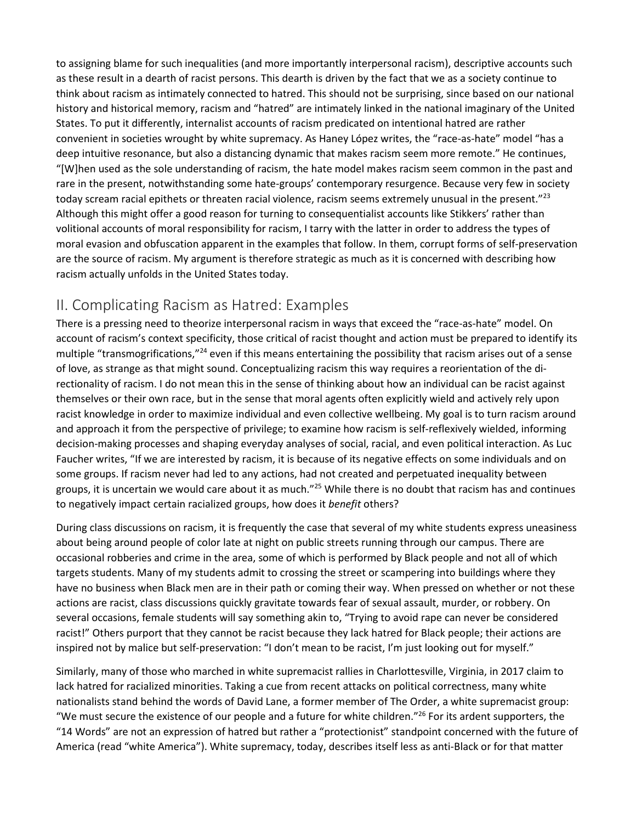to assigning blame for such inequalities (and more importantly interpersonal racism), descriptive accounts such as these result in a dearth of racist persons. This dearth is driven by the fact that we as a society continue to think about racism as intimately connected to hatred. This should not be surprising, since based on our national history and historical memory, racism and "hatred" are intimately linked in the national imaginary of the United States. To put it differently, internalist accounts of racism predicated on intentional hatred are rather convenient in societies wrought by white supremacy. As Haney López writes, the "race-as-hate" model "has a deep intuitive resonance, but also a distancing dynamic that makes racism seem more remote." He continues, "[W]hen used as the sole understanding of racism, the hate model makes racism seem common in the past and rare in the present, notwithstanding some hate-groups' contemporary resurgence. Because very few in society today scream racial epithets or threaten racial violence, racism seems extremely unusual in the present."<sup>23</sup> Although this might offer a good reason for turning to consequentialist accounts like Stikkers' rather than volitional accounts of moral responsibility for racism, I tarry with the latter in order to address the types of moral evasion and obfuscation apparent in the examples that follow. In them, corrupt forms of self-preservation are the source of racism. My argument is therefore strategic as much as it is concerned with describing how racism actually unfolds in the United States today.

#### II. Complicating Racism as Hatred: Examples

There is a pressing need to theorize interpersonal racism in ways that exceed the "race-as-hate" model. On account of racism's context specificity, those critical of racist thought and action must be prepared to identify its multiple "transmogrifications,"<sup>24</sup> even if this means entertaining the possibility that racism arises out of a sense of love, as strange as that might sound. Conceptualizing racism this way requires a reorientation of the directionality of racism. I do not mean this in the sense of thinking about how an individual can be racist against themselves or their own race, but in the sense that moral agents often explicitly wield and actively rely upon racist knowledge in order to maximize individual and even collective wellbeing. My goal is to turn racism around and approach it from the perspective of privilege; to examine how racism is self-reflexively wielded, informing decision-making processes and shaping everyday analyses of social, racial, and even political interaction. As Luc Faucher writes, "If we are interested by racism, it is because of its negative effects on some individuals and on some groups. If racism never had led to any actions, had not created and perpetuated inequality between groups, it is uncertain we would care about it as much."<sup>25</sup> While there is no doubt that racism has and continues to negatively impact certain racialized groups, how does it *benefit* others?

During class discussions on racism, it is frequently the case that several of my white students express uneasiness about being around people of color late at night on public streets running through our campus. There are occasional robberies and crime in the area, some of which is performed by Black people and not all of which targets students. Many of my students admit to crossing the street or scampering into buildings where they have no business when Black men are in their path or coming their way. When pressed on whether or not these actions are racist, class discussions quickly gravitate towards fear of sexual assault, murder, or robbery. On several occasions, female students will say something akin to, "Trying to avoid rape can never be considered racist!" Others purport that they cannot be racist because they lack hatred for Black people; their actions are inspired not by malice but self-preservation: "I don't mean to be racist, I'm just looking out for myself."

Similarly, many of those who marched in white supremacist rallies in Charlottesville, Virginia, in 2017 claim to lack hatred for racialized minorities. Taking a cue from recent attacks on political correctness, many white nationalists stand behind the words of David Lane, a former member of The Order, a white supremacist group: "We must secure the existence of our people and a future for white children."<sup>26</sup> For its ardent supporters, the "14 Words" are not an expression of hatred but rather a "protectionist" standpoint concerned with the future of America (read "white America"). White supremacy, today, describes itself less as anti-Black or for that matter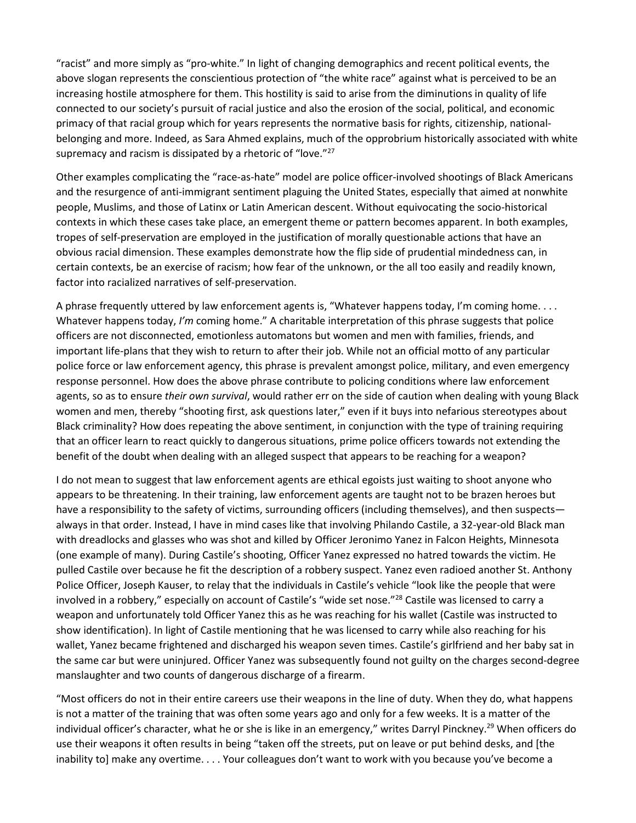"racist" and more simply as "pro-white." In light of changing demographics and recent political events, the above slogan represents the conscientious protection of "the white race" against what is perceived to be an increasing hostile atmosphere for them. This hostility is said to arise from the diminutions in quality of life connected to our society's pursuit of racial justice and also the erosion of the social, political, and economic primacy of that racial group which for years represents the normative basis for rights, citizenship, nationalbelonging and more. Indeed, as Sara Ahmed explains, much of the opprobrium historically associated with white supremacy and racism is dissipated by a rhetoric of "love."<sup>27</sup>

Other examples complicating the "race-as-hate" model are police officer-involved shootings of Black Americans and the resurgence of anti-immigrant sentiment plaguing the United States, especially that aimed at nonwhite people, Muslims, and those of Latinx or Latin American descent. Without equivocating the socio-historical contexts in which these cases take place, an emergent theme or pattern becomes apparent. In both examples, tropes of self-preservation are employed in the justification of morally questionable actions that have an obvious racial dimension. These examples demonstrate how the flip side of prudential mindedness can, in certain contexts, be an exercise of racism; how fear of the unknown, or the all too easily and readily known, factor into racialized narratives of self-preservation.

A phrase frequently uttered by law enforcement agents is, "Whatever happens today, I'm coming home. . . . Whatever happens today, *I'm* coming home." A charitable interpretation of this phrase suggests that police officers are not disconnected, emotionless automatons but women and men with families, friends, and important life-plans that they wish to return to after their job. While not an official motto of any particular police force or law enforcement agency, this phrase is prevalent amongst police, military, and even emergency response personnel. How does the above phrase contribute to policing conditions where law enforcement agents, so as to ensure *their own survival*, would rather err on the side of caution when dealing with young Black women and men, thereby "shooting first, ask questions later," even if it buys into nefarious stereotypes about Black criminality? How does repeating the above sentiment, in conjunction with the type of training requiring that an officer learn to react quickly to dangerous situations, prime police officers towards not extending the benefit of the doubt when dealing with an alleged suspect that appears to be reaching for a weapon?

I do not mean to suggest that law enforcement agents are ethical egoists just waiting to shoot anyone who appears to be threatening. In their training, law enforcement agents are taught not to be brazen heroes but have a responsibility to the safety of victims, surrounding officers (including themselves), and then suspects always in that order. Instead, I have in mind cases like that involving Philando Castile, a 32-year-old Black man with dreadlocks and glasses who was shot and killed by Officer Jeronimo Yanez in Falcon Heights, Minnesota (one example of many). During Castile's shooting, Officer Yanez expressed no hatred towards the victim. He pulled Castile over because he fit the description of a robbery suspect. Yanez even radioed another St. Anthony Police Officer, Joseph Kauser, to relay that the individuals in Castile's vehicle "look like the people that were involved in a robbery," especially on account of Castile's "wide set nose."28 Castile was licensed to carry a weapon and unfortunately told Officer Yanez this as he was reaching for his wallet (Castile was instructed to show identification). In light of Castile mentioning that he was licensed to carry while also reaching for his wallet, Yanez became frightened and discharged his weapon seven times. Castile's girlfriend and her baby sat in the same car but were uninjured. Officer Yanez was subsequently found not guilty on the charges second-degree manslaughter and two counts of dangerous discharge of a firearm.

"Most officers do not in their entire careers use their weapons in the line of duty. When they do, what happens is not a matter of the training that was often some years ago and only for a few weeks. It is a matter of the individual officer's character, what he or she is like in an emergency," writes Darryl Pinckney.<sup>29</sup> When officers do use their weapons it often results in being "taken off the streets, put on leave or put behind desks, and [the inability to] make any overtime. . . . Your colleagues don't want to work with you because you've become a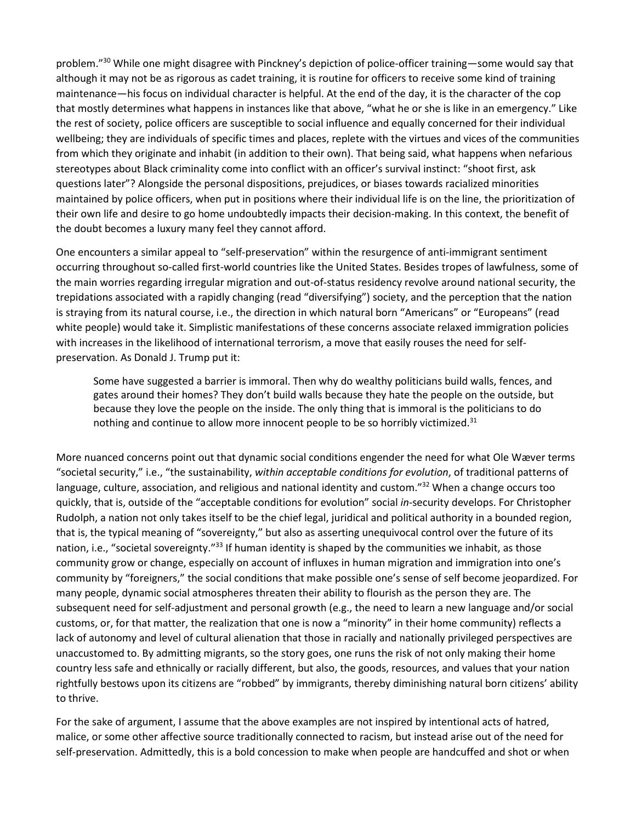problem."30 While one might disagree with Pinckney's depiction of police-officer training—some would say that although it may not be as rigorous as cadet training, it is routine for officers to receive some kind of training maintenance—his focus on individual character is helpful. At the end of the day, it is the character of the cop that mostly determines what happens in instances like that above, "what he or she is like in an emergency." Like the rest of society, police officers are susceptible to social influence and equally concerned for their individual wellbeing; they are individuals of specific times and places, replete with the virtues and vices of the communities from which they originate and inhabit (in addition to their own). That being said, what happens when nefarious stereotypes about Black criminality come into conflict with an officer's survival instinct: "shoot first, ask questions later"? Alongside the personal dispositions, prejudices, or biases towards racialized minorities maintained by police officers, when put in positions where their individual life is on the line, the prioritization of their own life and desire to go home undoubtedly impacts their decision-making. In this context, the benefit of the doubt becomes a luxury many feel they cannot afford.

One encounters a similar appeal to "self-preservation" within the resurgence of anti-immigrant sentiment occurring throughout so-called first-world countries like the United States. Besides tropes of lawfulness, some of the main worries regarding irregular migration and out-of-status residency revolve around national security, the trepidations associated with a rapidly changing (read "diversifying") society, and the perception that the nation is straying from its natural course, i.e., the direction in which natural born "Americans" or "Europeans" (read white people) would take it. Simplistic manifestations of these concerns associate relaxed immigration policies with increases in the likelihood of international terrorism, a move that easily rouses the need for selfpreservation. As Donald J. Trump put it:

Some have suggested a barrier is immoral. Then why do wealthy politicians build walls, fences, and gates around their homes? They don't build walls because they hate the people on the outside, but because they love the people on the inside. The only thing that is immoral is the politicians to do nothing and continue to allow more innocent people to be so horribly victimized.<sup>31</sup>

More nuanced concerns point out that dynamic social conditions engender the need for what Ole Wæver terms "societal security," i.e., "the sustainability, *within acceptable conditions for evolution*, of traditional patterns of language, culture, association, and religious and national identity and custom."<sup>32</sup> When a change occurs too quickly, that is, outside of the "acceptable conditions for evolution" social *in*-security develops. For Christopher Rudolph, a nation not only takes itself to be the chief legal, juridical and political authority in a bounded region, that is, the typical meaning of "sovereignty," but also as asserting unequivocal control over the future of its nation, i.e., "societal sovereignty."<sup>33</sup> If human identity is shaped by the communities we inhabit, as those community grow or change, especially on account of influxes in human migration and immigration into one's community by "foreigners," the social conditions that make possible one's sense of self become jeopardized. For many people, dynamic social atmospheres threaten their ability to flourish as the person they are. The subsequent need for self-adjustment and personal growth (e.g., the need to learn a new language and/or social customs, or, for that matter, the realization that one is now a "minority" in their home community) reflects a lack of autonomy and level of cultural alienation that those in racially and nationally privileged perspectives are unaccustomed to. By admitting migrants, so the story goes, one runs the risk of not only making their home country less safe and ethnically or racially different, but also, the goods, resources, and values that your nation rightfully bestows upon its citizens are "robbed" by immigrants, thereby diminishing natural born citizens' ability to thrive.

For the sake of argument, I assume that the above examples are not inspired by intentional acts of hatred, malice, or some other affective source traditionally connected to racism, but instead arise out of the need for self-preservation. Admittedly, this is a bold concession to make when people are handcuffed and shot or when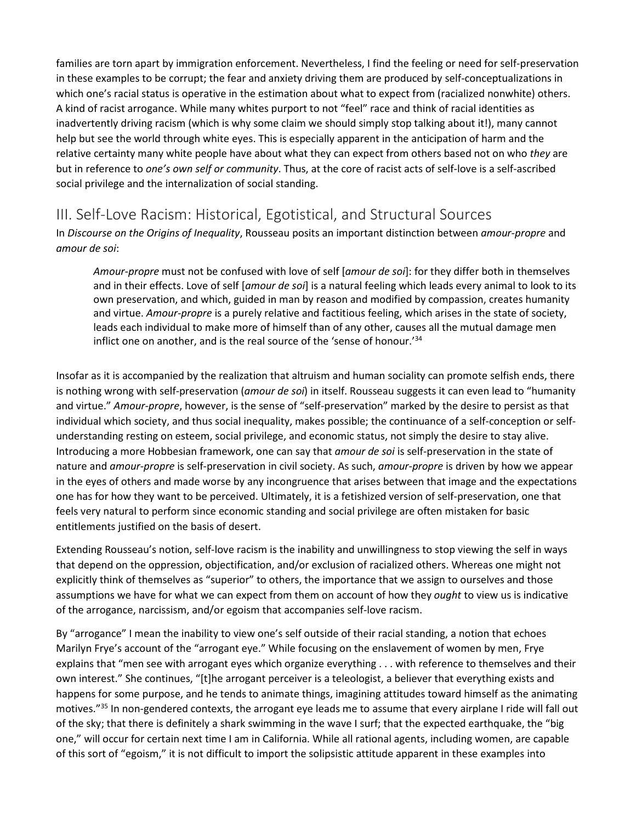families are torn apart by immigration enforcement. Nevertheless, I find the feeling or need for self-preservation in these examples to be corrupt; the fear and anxiety driving them are produced by self-conceptualizations in which one's racial status is operative in the estimation about what to expect from (racialized nonwhite) others. A kind of racist arrogance. While many whites purport to not "feel" race and think of racial identities as inadvertently driving racism (which is why some claim we should simply stop talking about it!), many cannot help but see the world through white eyes. This is especially apparent in the anticipation of harm and the relative certainty many white people have about what they can expect from others based not on who *they* are but in reference to *one's own self or community*. Thus, at the core of racist acts of self-love is a self-ascribed social privilege and the internalization of social standing.

# III. Self-Love Racism: Historical, Egotistical, and Structural Sources

In *Discourse on the Origins of Inequality*, Rousseau posits an important distinction between *amour-propre* and *amour de soi*:

*Amour-propre* must not be confused with love of self [*amour de soi*]: for they differ both in themselves and in their effects. Love of self [*amour de soi*] is a natural feeling which leads every animal to look to its own preservation, and which, guided in man by reason and modified by compassion, creates humanity and virtue. *Amour-propre* is a purely relative and factitious feeling, which arises in the state of society, leads each individual to make more of himself than of any other, causes all the mutual damage men inflict one on another, and is the real source of the 'sense of honour.'34

Insofar as it is accompanied by the realization that altruism and human sociality can promote selfish ends, there is nothing wrong with self-preservation (*amour de soi*) in itself. Rousseau suggests it can even lead to "humanity and virtue." *Amour-propre*, however, is the sense of "self-preservation" marked by the desire to persist as that individual which society, and thus social inequality, makes possible; the continuance of a self-conception or selfunderstanding resting on esteem, social privilege, and economic status, not simply the desire to stay alive. Introducing a more Hobbesian framework, one can say that *amour de soi* is self-preservation in the state of nature and *amour-propre* is self-preservation in civil society. As such, *amour-propre* is driven by how we appear in the eyes of others and made worse by any incongruence that arises between that image and the expectations one has for how they want to be perceived. Ultimately, it is a fetishized version of self-preservation, one that feels very natural to perform since economic standing and social privilege are often mistaken for basic entitlements justified on the basis of desert.

Extending Rousseau's notion, self-love racism is the inability and unwillingness to stop viewing the self in ways that depend on the oppression, objectification, and/or exclusion of racialized others. Whereas one might not explicitly think of themselves as "superior" to others, the importance that we assign to ourselves and those assumptions we have for what we can expect from them on account of how they *ought* to view us is indicative of the arrogance, narcissism, and/or egoism that accompanies self-love racism.

By "arrogance" I mean the inability to view one's self outside of their racial standing, a notion that echoes Marilyn Frye's account of the "arrogant eye." While focusing on the enslavement of women by men, Frye explains that "men see with arrogant eyes which organize everything . . . with reference to themselves and their own interest." She continues, "[t]he arrogant perceiver is a teleologist, a believer that everything exists and happens for some purpose, and he tends to animate things, imagining attitudes toward himself as the animating motives."<sup>35</sup> In non-gendered contexts, the arrogant eye leads me to assume that every airplane I ride will fall out of the sky; that there is definitely a shark swimming in the wave I surf; that the expected earthquake, the "big one," will occur for certain next time I am in California. While all rational agents, including women, are capable of this sort of "egoism," it is not difficult to import the solipsistic attitude apparent in these examples into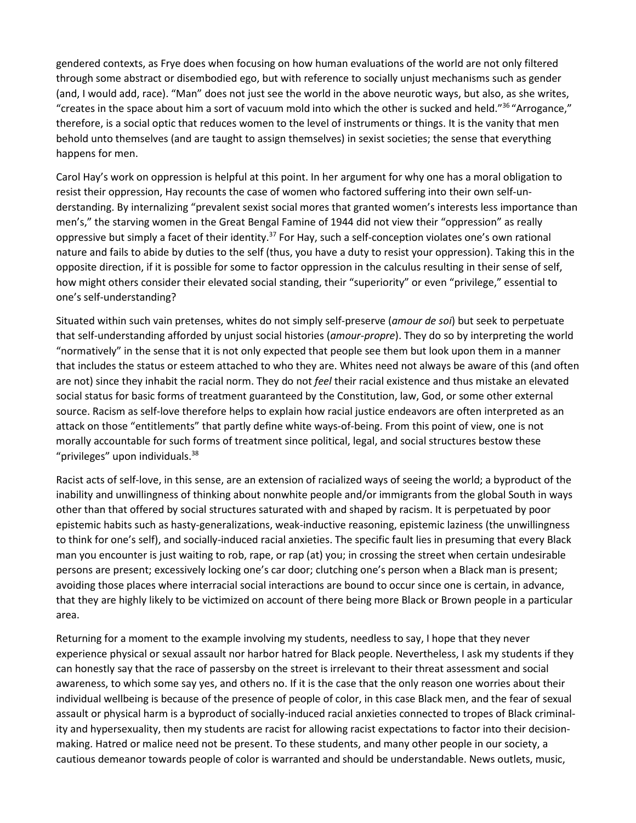gendered contexts, as Frye does when focusing on how human evaluations of the world are not only filtered through some abstract or disembodied ego, but with reference to socially unjust mechanisms such as gender (and, I would add, race). "Man" does not just see the world in the above neurotic ways, but also, as she writes, "creates in the space about him a sort of vacuum mold into which the other is sucked and held."36 "Arrogance," therefore, is a social optic that reduces women to the level of instruments or things. It is the vanity that men behold unto themselves (and are taught to assign themselves) in sexist societies; the sense that everything happens for men.

Carol Hay's work on oppression is helpful at this point. In her argument for why one has a moral obligation to resist their oppression, Hay recounts the case of women who factored suffering into their own self-understanding. By internalizing "prevalent sexist social mores that granted women's interests less importance than men's," the starving women in the Great Bengal Famine of 1944 did not view their "oppression" as really oppressive but simply a facet of their identity.<sup>37</sup> For Hay, such a self-conception violates one's own rational nature and fails to abide by duties to the self (thus, you have a duty to resist your oppression). Taking this in the opposite direction, if it is possible for some to factor oppression in the calculus resulting in their sense of self, how might others consider their elevated social standing, their "superiority" or even "privilege," essential to one's self-understanding?

Situated within such vain pretenses, whites do not simply self-preserve (*amour de soi*) but seek to perpetuate that self-understanding afforded by unjust social histories (*amour-propre*). They do so by interpreting the world "normatively" in the sense that it is not only expected that people see them but look upon them in a manner that includes the status or esteem attached to who they are. Whites need not always be aware of this (and often are not) since they inhabit the racial norm. They do not *feel* their racial existence and thus mistake an elevated social status for basic forms of treatment guaranteed by the Constitution, law, God, or some other external source. Racism as self-love therefore helps to explain how racial justice endeavors are often interpreted as an attack on those "entitlements" that partly define white ways-of-being. From this point of view, one is not morally accountable for such forms of treatment since political, legal, and social structures bestow these "privileges" upon individuals.<sup>38</sup>

Racist acts of self-love, in this sense, are an extension of racialized ways of seeing the world; a byproduct of the inability and unwillingness of thinking about nonwhite people and/or immigrants from the global South in ways other than that offered by social structures saturated with and shaped by racism. It is perpetuated by poor epistemic habits such as hasty-generalizations, weak-inductive reasoning, epistemic laziness (the unwillingness to think for one's self), and socially-induced racial anxieties. The specific fault lies in presuming that every Black man you encounter is just waiting to rob, rape, or rap (at) you; in crossing the street when certain undesirable persons are present; excessively locking one's car door; clutching one's person when a Black man is present; avoiding those places where interracial social interactions are bound to occur since one is certain, in advance, that they are highly likely to be victimized on account of there being more Black or Brown people in a particular area.

Returning for a moment to the example involving my students, needless to say, I hope that they never experience physical or sexual assault nor harbor hatred for Black people. Nevertheless, I ask my students if they can honestly say that the race of passersby on the street is irrelevant to their threat assessment and social awareness, to which some say yes, and others no. If it is the case that the only reason one worries about their individual wellbeing is because of the presence of people of color, in this case Black men, and the fear of sexual assault or physical harm is a byproduct of socially-induced racial anxieties connected to tropes of Black criminality and hypersexuality, then my students are racist for allowing racist expectations to factor into their decisionmaking. Hatred or malice need not be present. To these students, and many other people in our society, a cautious demeanor towards people of color is warranted and should be understandable. News outlets, music,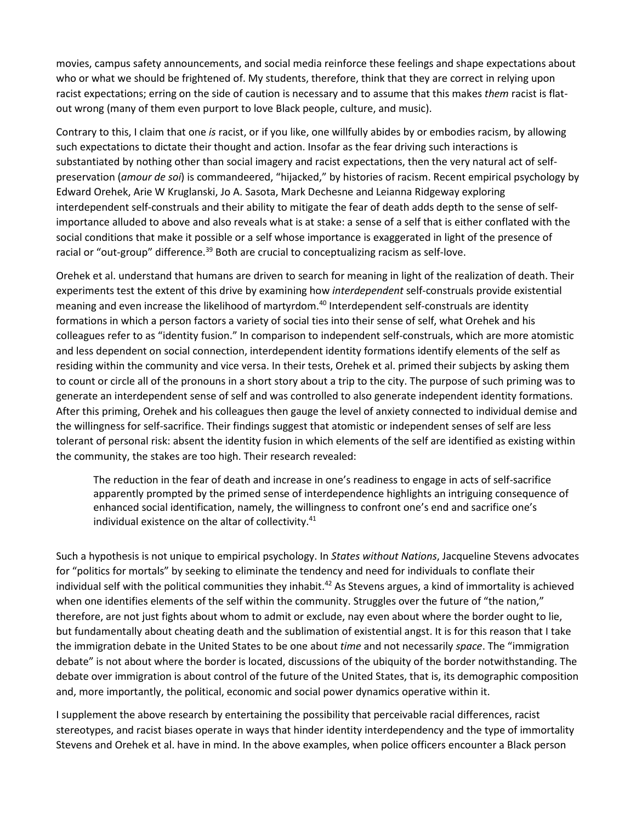movies, campus safety announcements, and social media reinforce these feelings and shape expectations about who or what we should be frightened of. My students, therefore, think that they are correct in relying upon racist expectations; erring on the side of caution is necessary and to assume that this makes *them* racist is flatout wrong (many of them even purport to love Black people, culture, and music).

Contrary to this, I claim that one *is* racist, or if you like, one willfully abides by or embodies racism, by allowing such expectations to dictate their thought and action. Insofar as the fear driving such interactions is substantiated by nothing other than social imagery and racist expectations, then the very natural act of selfpreservation (*amour de soi*) is commandeered, "hijacked," by histories of racism. Recent empirical psychology by Edward Orehek, Arie W Kruglanski, Jo A. Sasota, Mark Dechesne and Leianna Ridgeway exploring interdependent self-construals and their ability to mitigate the fear of death adds depth to the sense of selfimportance alluded to above and also reveals what is at stake: a sense of a self that is either conflated with the social conditions that make it possible or a self whose importance is exaggerated in light of the presence of racial or "out-group" difference.<sup>39</sup> Both are crucial to conceptualizing racism as self-love.

Orehek et al. understand that humans are driven to search for meaning in light of the realization of death. Their experiments test the extent of this drive by examining how *interdependent* self-construals provide existential meaning and even increase the likelihood of martyrdom.<sup>40</sup> Interdependent self-construals are identity formations in which a person factors a variety of social ties into their sense of self, what Orehek and his colleagues refer to as "identity fusion." In comparison to independent self-construals, which are more atomistic and less dependent on social connection, interdependent identity formations identify elements of the self as residing within the community and vice versa. In their tests, Orehek et al. primed their subjects by asking them to count or circle all of the pronouns in a short story about a trip to the city. The purpose of such priming was to generate an interdependent sense of self and was controlled to also generate independent identity formations. After this priming, Orehek and his colleagues then gauge the level of anxiety connected to individual demise and the willingness for self-sacrifice. Their findings suggest that atomistic or independent senses of self are less tolerant of personal risk: absent the identity fusion in which elements of the self are identified as existing within the community, the stakes are too high. Their research revealed:

The reduction in the fear of death and increase in one's readiness to engage in acts of self-sacrifice apparently prompted by the primed sense of interdependence highlights an intriguing consequence of enhanced social identification, namely, the willingness to confront one's end and sacrifice one's individual existence on the altar of collectivity.<sup>41</sup>

Such a hypothesis is not unique to empirical psychology. In *States without Nations*, Jacqueline Stevens advocates for "politics for mortals" by seeking to eliminate the tendency and need for individuals to conflate their individual self with the political communities they inhabit.<sup>42</sup> As Stevens argues, a kind of immortality is achieved when one identifies elements of the self within the community. Struggles over the future of "the nation," therefore, are not just fights about whom to admit or exclude, nay even about where the border ought to lie, but fundamentally about cheating death and the sublimation of existential angst. It is for this reason that I take the immigration debate in the United States to be one about *time* and not necessarily *space*. The "immigration debate" is not about where the border is located, discussions of the ubiquity of the border notwithstanding. The debate over immigration is about control of the future of the United States, that is, its demographic composition and, more importantly, the political, economic and social power dynamics operative within it.

I supplement the above research by entertaining the possibility that perceivable racial differences, racist stereotypes, and racist biases operate in ways that hinder identity interdependency and the type of immortality Stevens and Orehek et al. have in mind. In the above examples, when police officers encounter a Black person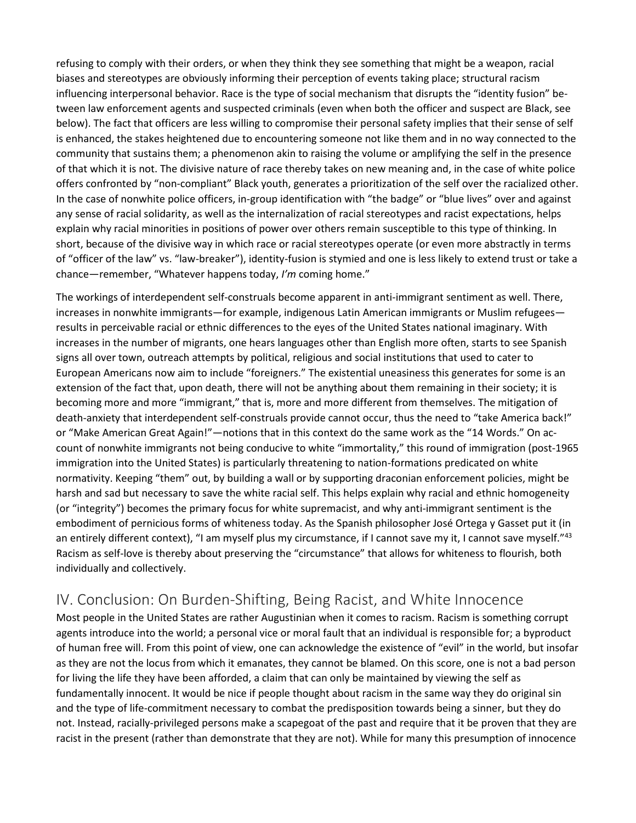refusing to comply with their orders, or when they think they see something that might be a weapon, racial biases and stereotypes are obviously informing their perception of events taking place; structural racism influencing interpersonal behavior. Race is the type of social mechanism that disrupts the "identity fusion" between law enforcement agents and suspected criminals (even when both the officer and suspect are Black, see below). The fact that officers are less willing to compromise their personal safety implies that their sense of self is enhanced, the stakes heightened due to encountering someone not like them and in no way connected to the community that sustains them; a phenomenon akin to raising the volume or amplifying the self in the presence of that which it is not. The divisive nature of race thereby takes on new meaning and, in the case of white police offers confronted by "non-compliant" Black youth, generates a prioritization of the self over the racialized other. In the case of nonwhite police officers, in-group identification with "the badge" or "blue lives" over and against any sense of racial solidarity, as well as the internalization of racial stereotypes and racist expectations, helps explain why racial minorities in positions of power over others remain susceptible to this type of thinking. In short, because of the divisive way in which race or racial stereotypes operate (or even more abstractly in terms of "officer of the law" vs. "law-breaker"), identity-fusion is stymied and one is less likely to extend trust or take a chance—remember, "Whatever happens today, *I'm* coming home."

The workings of interdependent self-construals become apparent in anti-immigrant sentiment as well. There, increases in nonwhite immigrants—for example, indigenous Latin American immigrants or Muslim refugees results in perceivable racial or ethnic differences to the eyes of the United States national imaginary. With increases in the number of migrants, one hears languages other than English more often, starts to see Spanish signs all over town, outreach attempts by political, religious and social institutions that used to cater to European Americans now aim to include "foreigners." The existential uneasiness this generates for some is an extension of the fact that, upon death, there will not be anything about them remaining in their society; it is becoming more and more "immigrant," that is, more and more different from themselves. The mitigation of death-anxiety that interdependent self-construals provide cannot occur, thus the need to "take America back!" or "Make American Great Again!"—notions that in this context do the same work as the "14 Words." On account of nonwhite immigrants not being conducive to white "immortality," this round of immigration (post-1965 immigration into the United States) is particularly threatening to nation-formations predicated on white normativity. Keeping "them" out, by building a wall or by supporting draconian enforcement policies, might be harsh and sad but necessary to save the white racial self. This helps explain why racial and ethnic homogeneity (or "integrity") becomes the primary focus for white supremacist, and why anti-immigrant sentiment is the embodiment of pernicious forms of whiteness today. As the Spanish philosopher José Ortega y Gasset put it (in an entirely different context), "I am myself plus my circumstance, if I cannot save my it, I cannot save myself."<sup>43</sup> Racism as self-love is thereby about preserving the "circumstance" that allows for whiteness to flourish, both individually and collectively.

### IV. Conclusion: On Burden-Shifting, Being Racist, and White Innocence

Most people in the United States are rather Augustinian when it comes to racism. Racism is something corrupt agents introduce into the world; a personal vice or moral fault that an individual is responsible for; a byproduct of human free will. From this point of view, one can acknowledge the existence of "evil" in the world, but insofar as they are not the locus from which it emanates, they cannot be blamed. On this score, one is not a bad person for living the life they have been afforded, a claim that can only be maintained by viewing the self as fundamentally innocent. It would be nice if people thought about racism in the same way they do original sin and the type of life-commitment necessary to combat the predisposition towards being a sinner, but they do not. Instead, racially-privileged persons make a scapegoat of the past and require that it be proven that they are racist in the present (rather than demonstrate that they are not). While for many this presumption of innocence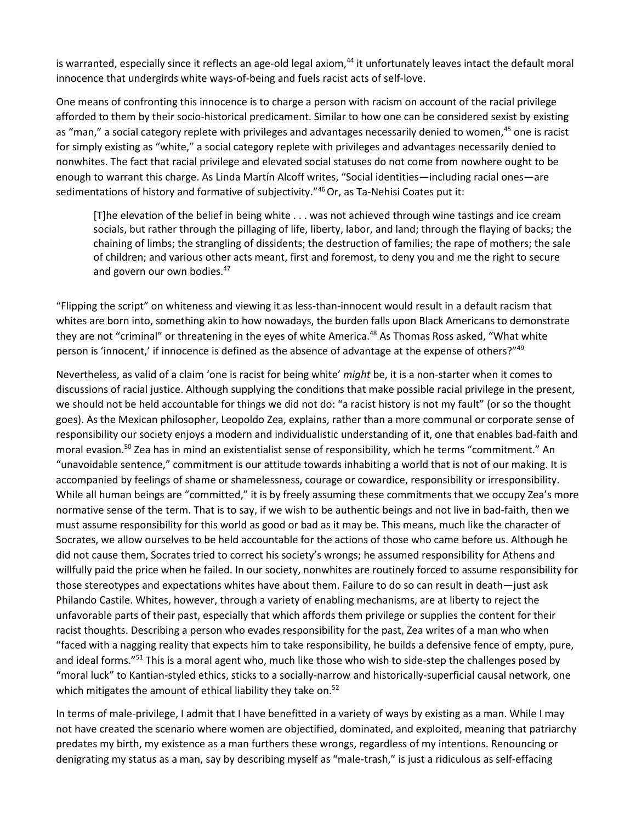is warranted, especially since it reflects an age-old legal axiom,<sup>44</sup> it unfortunately leaves intact the default moral innocence that undergirds white ways-of-being and fuels racist acts of self-love.

One means of confronting this innocence is to charge a person with racism on account of the racial privilege afforded to them by their socio-historical predicament. Similar to how one can be considered sexist by existing as "man," a social category replete with privileges and advantages necessarily denied to women,<sup>45</sup> one is racist for simply existing as "white," a social category replete with privileges and advantages necessarily denied to nonwhites. The fact that racial privilege and elevated social statuses do not come from nowhere ought to be enough to warrant this charge. As Linda Martín Alcoff writes, "Social identities—including racial ones—are sedimentations of history and formative of subjectivity."46 Or, as Ta-Nehisi Coates put it:

[T]he elevation of the belief in being white . . . was not achieved through wine tastings and ice cream socials, but rather through the pillaging of life, liberty, labor, and land; through the flaying of backs; the chaining of limbs; the strangling of dissidents; the destruction of families; the rape of mothers; the sale of children; and various other acts meant, first and foremost, to deny you and me the right to secure and govern our own bodies.<sup>47</sup>

"Flipping the script" on whiteness and viewing it as less-than-innocent would result in a default racism that whites are born into, something akin to how nowadays, the burden falls upon Black Americans to demonstrate they are not "criminal" or threatening in the eyes of white America.<sup>48</sup> As Thomas Ross asked, "What white person is 'innocent,' if innocence is defined as the absence of advantage at the expense of others?"49

Nevertheless, as valid of a claim 'one is racist for being white' *might* be, it is a non-starter when it comes to discussions of racial justice. Although supplying the conditions that make possible racial privilege in the present, we should not be held accountable for things we did not do: "a racist history is not my fault" (or so the thought goes). As the Mexican philosopher, Leopoldo Zea, explains, rather than a more communal or corporate sense of responsibility our society enjoys a modern and individualistic understanding of it, one that enables bad-faith and moral evasion.50 Zea has in mind an existentialist sense of responsibility, which he terms "commitment." An "unavoidable sentence," commitment is our attitude towards inhabiting a world that is not of our making. It is accompanied by feelings of shame or shamelessness, courage or cowardice, responsibility or irresponsibility. While all human beings are "committed," it is by freely assuming these commitments that we occupy Zea's more normative sense of the term. That is to say, if we wish to be authentic beings and not live in bad-faith, then we must assume responsibility for this world as good or bad as it may be. This means, much like the character of Socrates, we allow ourselves to be held accountable for the actions of those who came before us. Although he did not cause them, Socrates tried to correct his society's wrongs; he assumed responsibility for Athens and willfully paid the price when he failed. In our society, nonwhites are routinely forced to assume responsibility for those stereotypes and expectations whites have about them. Failure to do so can result in death—just ask Philando Castile. Whites, however, through a variety of enabling mechanisms, are at liberty to reject the unfavorable parts of their past, especially that which affords them privilege or supplies the content for their racist thoughts. Describing a person who evades responsibility for the past, Zea writes of a man who when "faced with a nagging reality that expects him to take responsibility, he builds a defensive fence of empty, pure, and ideal forms."<sup>51</sup> This is a moral agent who, much like those who wish to side-step the challenges posed by "moral luck" to Kantian-styled ethics, sticks to a socially-narrow and historically-superficial causal network, one which mitigates the amount of ethical liability they take on.<sup>52</sup>

In terms of male-privilege, I admit that I have benefitted in a variety of ways by existing as a man. While I may not have created the scenario where women are objectified, dominated, and exploited, meaning that patriarchy predates my birth, my existence as a man furthers these wrongs, regardless of my intentions. Renouncing or denigrating my status as a man, say by describing myself as "male-trash," is just a ridiculous as self-effacing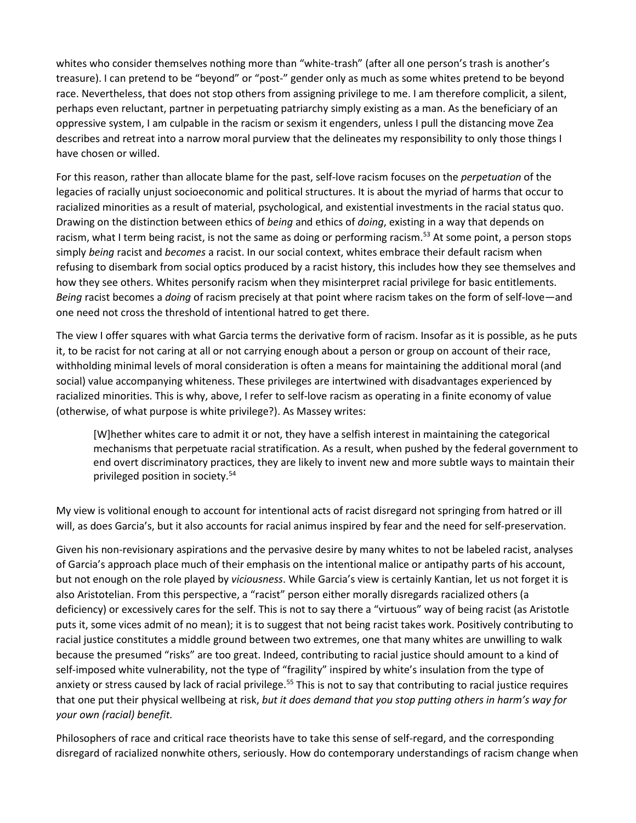whites who consider themselves nothing more than "white-trash" (after all one person's trash is another's treasure). I can pretend to be "beyond" or "post-" gender only as much as some whites pretend to be beyond race. Nevertheless, that does not stop others from assigning privilege to me. I am therefore complicit, a silent, perhaps even reluctant, partner in perpetuating patriarchy simply existing as a man. As the beneficiary of an oppressive system, I am culpable in the racism or sexism it engenders, unless I pull the distancing move Zea describes and retreat into a narrow moral purview that the delineates my responsibility to only those things I have chosen or willed.

For this reason, rather than allocate blame for the past, self-love racism focuses on the *perpetuation* of the legacies of racially unjust socioeconomic and political structures. It is about the myriad of harms that occur to racialized minorities as a result of material, psychological, and existential investments in the racial status quo. Drawing on the distinction between ethics of *being* and ethics of *doing*, existing in a way that depends on racism, what I term being racist, is not the same as doing or performing racism.<sup>53</sup> At some point, a person stops simply *being* racist and *becomes* a racist. In our social context, whites embrace their default racism when refusing to disembark from social optics produced by a racist history, this includes how they see themselves and how they see others. Whites personify racism when they misinterpret racial privilege for basic entitlements. *Being* racist becomes a *doing* of racism precisely at that point where racism takes on the form of self-love—and one need not cross the threshold of intentional hatred to get there.

The view I offer squares with what Garcia terms the derivative form of racism. Insofar as it is possible, as he puts it, to be racist for not caring at all or not carrying enough about a person or group on account of their race, withholding minimal levels of moral consideration is often a means for maintaining the additional moral (and social) value accompanying whiteness. These privileges are intertwined with disadvantages experienced by racialized minorities. This is why, above, I refer to self-love racism as operating in a finite economy of value (otherwise, of what purpose is white privilege?). As Massey writes:

[W]hether whites care to admit it or not, they have a selfish interest in maintaining the categorical mechanisms that perpetuate racial stratification. As a result, when pushed by the federal government to end overt discriminatory practices, they are likely to invent new and more subtle ways to maintain their privileged position in society.54

My view is volitional enough to account for intentional acts of racist disregard not springing from hatred or ill will, as does Garcia's, but it also accounts for racial animus inspired by fear and the need for self-preservation.

Given his non-revisionary aspirations and the pervasive desire by many whites to not be labeled racist, analyses of Garcia's approach place much of their emphasis on the intentional malice or antipathy parts of his account, but not enough on the role played by *viciousness*. While Garcia's view is certainly Kantian, let us not forget it is also Aristotelian. From this perspective, a "racist" person either morally disregards racialized others (a deficiency) or excessively cares for the self. This is not to say there a "virtuous" way of being racist (as Aristotle puts it, some vices admit of no mean); it is to suggest that not being racist takes work. Positively contributing to racial justice constitutes a middle ground between two extremes, one that many whites are unwilling to walk because the presumed "risks" are too great. Indeed, contributing to racial justice should amount to a kind of self-imposed white vulnerability, not the type of "fragility" inspired by white's insulation from the type of anxiety or stress caused by lack of racial privilege.<sup>55</sup> This is not to say that contributing to racial justice requires that one put their physical wellbeing at risk, *but it does demand that you stop putting others in harm's way for your own (racial) benefit.*

Philosophers of race and critical race theorists have to take this sense of self-regard, and the corresponding disregard of racialized nonwhite others, seriously. How do contemporary understandings of racism change when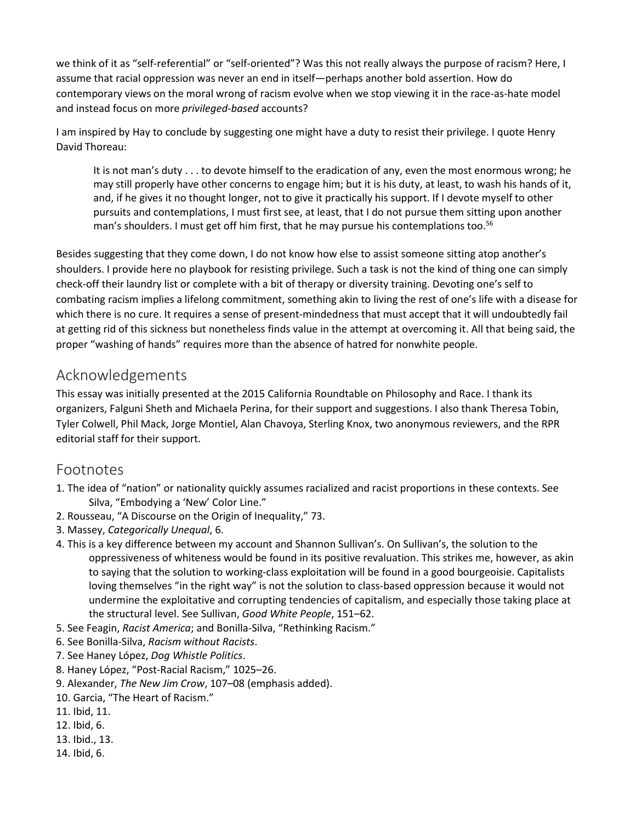we think of it as "self-referential" or "self-oriented"? Was this not really always the purpose of racism? Here, I assume that racial oppression was never an end in itself—perhaps another bold assertion. How do contemporary views on the moral wrong of racism evolve when we stop viewing it in the race-as-hate model and instead focus on more *privileged-based* accounts?

I am inspired by Hay to conclude by suggesting one might have a duty to resist their privilege. I quote Henry David Thoreau:

It is not man's duty . . . to devote himself to the eradication of any, even the most enormous wrong; he may still properly have other concerns to engage him; but it is his duty, at least, to wash his hands of it, and, if he gives it no thought longer, not to give it practically his support. If I devote myself to other pursuits and contemplations, I must first see, at least, that I do not pursue them sitting upon another man's shoulders. I must get off him first, that he may pursue his contemplations too.<sup>56</sup>

Besides suggesting that they come down, I do not know how else to assist someone sitting atop another's shoulders. I provide here no playbook for resisting privilege. Such a task is not the kind of thing one can simply check-off their laundry list or complete with a bit of therapy or diversity training. Devoting one's self to combating racism implies a lifelong commitment, something akin to living the rest of one's life with a disease for which there is no cure. It requires a sense of present-mindedness that must accept that it will undoubtedly fail at getting rid of this sickness but nonetheless finds value in the attempt at overcoming it. All that being said, the proper "washing of hands" requires more than the absence of hatred for nonwhite people.

#### Acknowledgements

This essay was initially presented at the 2015 California Roundtable on Philosophy and Race. I thank its organizers, Falguni Sheth and Michaela Perina, for their support and suggestions. I also thank Theresa Tobin, Tyler Colwell, Phil Mack, Jorge Montiel, Alan Chavoya, Sterling Knox, two anonymous reviewers, and the RPR editorial staff for their support.

#### Footnotes

- 1. The idea of "nation" or nationality quickly assumes racialized and racist proportions in these contexts. See Silva, "Embodying a 'New' Color Line."
- 2. Rousseau, "A Discourse on the Origin of Inequality," 73.
- 3. Massey, *Categorically Unequal*, 6.
- 4. This is a key difference between my account and Shannon Sullivan's. On Sullivan's, the solution to the oppressiveness of whiteness would be found in its positive revaluation. This strikes me, however, as akin to saying that the solution to working-class exploitation will be found in a good bourgeoisie. Capitalists loving themselves "in the right way" is not the solution to class-based oppression because it would not undermine the exploitative and corrupting tendencies of capitalism, and especially those taking place at the structural level. See Sullivan, *Good White People*, 151–62.
- 5. See Feagin, *Racist America*; and Bonilla-Silva, "Rethinking Racism."
- 6. See Bonilla-Silva, *Racism without Racists*.
- 7. See Haney López, *Dog Whistle Politics*.
- 8. Haney López, "Post-Racial Racism," 1025–26.
- 9. Alexander, *The New Jim Crow*, 107–08 (emphasis added).
- 10. Garcia, "The Heart of Racism."
- 11. Ibid, 11.
- 12. Ibid, 6.
- 13. Ibid., 13.
- 14. Ibid, 6.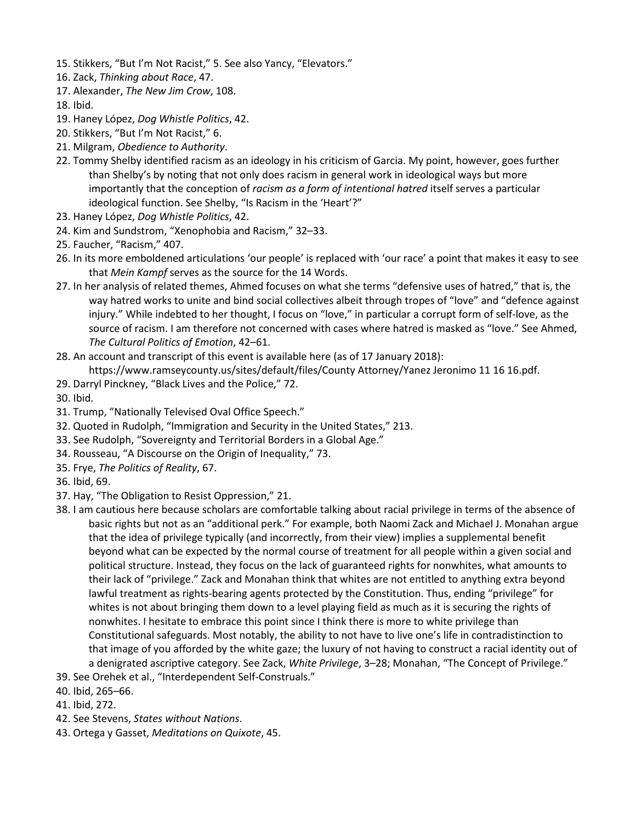- 15. Stikkers, "But I'm Not Racist," 5. See also Yancy, "Elevators."
- 16. Zack, *Thinking about Race*, 47.
- 17. Alexander, *The New Jim Crow*, 108.
- 18. Ibid.
- 19. Haney López, *Dog Whistle Politics*, 42.
- 20. Stikkers, "But I'm Not Racist," 6.
- 21. Milgram, *Obedience to Authority*.
- 22. Tommy Shelby identified racism as an ideology in his criticism of Garcia. My point, however, goes further than Shelby's by noting that not only does racism in general work in ideological ways but more importantly that the conception of *racism as a form of intentional hatred* itself serves a particular ideological function. See Shelby, "Is Racism in the 'Heart'?"
- 23. Haney López, *Dog Whistle Politics*, 42.
- 24. Kim and Sundstrom, "Xenophobia and Racism," 32–33.
- 25. Faucher, "Racism," 407.
- 26. In its more emboldened articulations 'our people' is replaced with 'our race' a point that makes it easy to see that *Mein Kampf* serves as the source for the 14 Words.
- 27. In her analysis of related themes, Ahmed focuses on what she terms "defensive uses of hatred," that is, the way hatred works to unite and bind social collectives albeit through tropes of "love" and "defence against injury." While indebted to her thought, I focus on "love," in particular a corrupt form of self-love, as the source of racism. I am therefore not concerned with cases where hatred is masked as "love." See Ahmed, *The Cultural Politics of Emotion*, 42–61.
- 28. An account and transcript of this event is available here (as of 17 January 2018): https://www.ramseycounty.us/sites/default/files/County Attorney/Yanez Jeronimo 11 16 16.pdf.
- 29. Darryl Pinckney, "Black Lives and the Police," 72.

30. Ibid.

- 31. Trump, "Nationally Televised Oval Office Speech."
- 32. Quoted in Rudolph, "Immigration and Security in the United States," 213.
- 33. See Rudolph, "Sovereignty and Territorial Borders in a Global Age."
- 34. Rousseau, "A Discourse on the Origin of Inequality," 73.
- 35. Frye, *The Politics of Reality*, 67.
- 36. Ibid, 69.
- 37. Hay, "The Obligation to Resist Oppression," 21.
- 38. I am cautious here because scholars are comfortable talking about racial privilege in terms of the absence of basic rights but not as an "additional perk." For example, both Naomi Zack and Michael J. Monahan argue that the idea of privilege typically (and incorrectly, from their view) implies a supplemental benefit beyond what can be expected by the normal course of treatment for all people within a given social and political structure. Instead, they focus on the lack of guaranteed rights for nonwhites, what amounts to their lack of "privilege." Zack and Monahan think that whites are not entitled to anything extra beyond lawful treatment as rights-bearing agents protected by the Constitution. Thus, ending "privilege" for whites is not about bringing them down to a level playing field as much as it is securing the rights of nonwhites. I hesitate to embrace this point since I think there is more to white privilege than Constitutional safeguards. Most notably, the ability to not have to live one's life in contradistinction to that image of you afforded by the white gaze; the luxury of not having to construct a racial identity out of a denigrated ascriptive category. See Zack, *White Privilege*, 3–28; Monahan, "The Concept of Privilege."
- 39. See Orehek et al., "Interdependent Self-Construals."
- 40. Ibid, 265–66.
- 41. Ibid, 272.
- 42. See Stevens, *States without Nations*.
- 43. Ortega y Gasset, *Meditations on Quixote*, 45.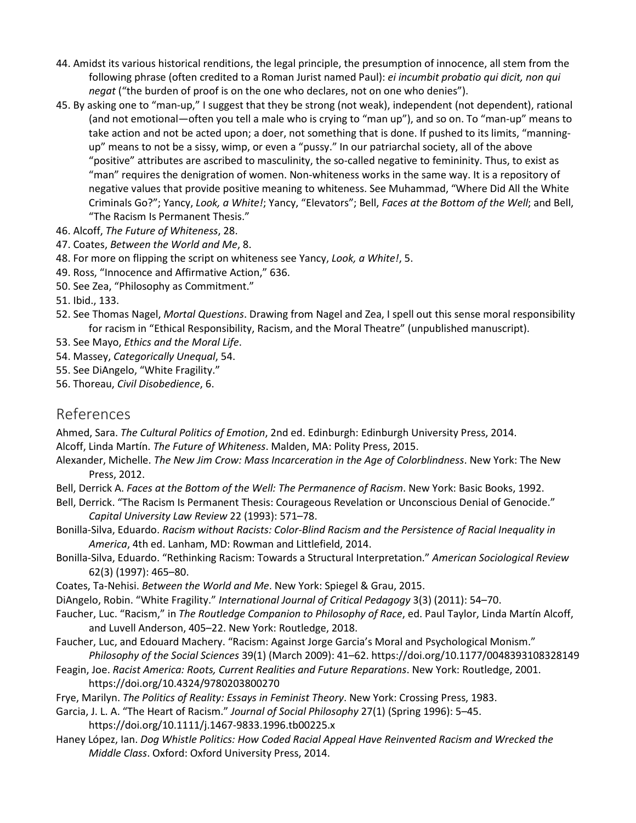- 44. Amidst its various historical renditions, the legal principle, the presumption of innocence, all stem from the following phrase (often credited to a Roman Jurist named Paul): *ei incumbit probatio qui dicit, non qui negat* ("the burden of proof is on the one who declares, not on one who denies").
- 45. By asking one to "man-up," I suggest that they be strong (not weak), independent (not dependent), rational (and not emotional—often you tell a male who is crying to "man up"), and so on. To "man-up" means to take action and not be acted upon; a doer, not something that is done. If pushed to its limits, "manningup" means to not be a sissy, wimp, or even a "pussy." In our patriarchal society, all of the above "positive" attributes are ascribed to masculinity, the so-called negative to femininity. Thus, to exist as "man" requires the denigration of women. Non-whiteness works in the same way. It is a repository of negative values that provide positive meaning to whiteness. See Muhammad, "Where Did All the White Criminals Go?"; Yancy, *Look, a White!*; Yancy, "Elevators"; Bell, *Faces at the Bottom of the Well*; and Bell, "The Racism Is Permanent Thesis."
- 46. Alcoff, *The Future of Whiteness*, 28.
- 47. Coates, *Between the World and Me*, 8.
- 48. For more on flipping the script on whiteness see Yancy, *Look, a White!*, 5.
- 49. Ross, "Innocence and Affirmative Action," 636.
- 50. See Zea, "Philosophy as Commitment."

51. Ibid., 133.

- 52. See Thomas Nagel, *Mortal Questions*. Drawing from Nagel and Zea, I spell out this sense moral responsibility for racism in "Ethical Responsibility, Racism, and the Moral Theatre" (unpublished manuscript).
- 53. See Mayo, *Ethics and the Moral Life*.
- 54. Massey, *Categorically Unequal*, 54.
- 55. See DiAngelo, "White Fragility."
- 56. Thoreau, *Civil Disobedience*, 6.

#### References

Ahmed, Sara. *The Cultural Politics of Emotion*, 2nd ed. Edinburgh: Edinburgh University Press, 2014. Alcoff, Linda Martín. *The Future of Whiteness*. Malden, MA: Polity Press, 2015.

- Alexander, Michelle. *The New Jim Crow: Mass Incarceration in the Age of Colorblindness*. New York: The New Press, 2012.
- Bell, Derrick A. *Faces at the Bottom of the Well: The Permanence of Racism*. New York: Basic Books, 1992.
- Bell, Derrick. "The Racism Is Permanent Thesis: Courageous Revelation or Unconscious Denial of Genocide." *Capital University Law Review* 22 (1993): 571–78.

Bonilla-Silva, Eduardo. *Racism without Racists: Color-Blind Racism and the Persistence of Racial Inequality in America*, 4th ed. Lanham, MD: Rowman and Littlefield, 2014.

- Bonilla-Silva, Eduardo. "Rethinking Racism: Towards a Structural Interpretation." *American Sociological Review*  62(3) (1997): 465–80.
- Coates, Ta-Nehisi. *Between the World and Me*. New York: Spiegel & Grau, 2015.
- DiAngelo, Robin. "White Fragility." *International Journal of Critical Pedagogy* 3(3) (2011): 54–70.

Faucher, Luc. "Racism," in *The Routledge Companion to Philosophy of Race*, ed. Paul Taylor, Linda Martín Alcoff, and Luvell Anderson, 405–22. New York: Routledge, 2018.

- Faucher, Luc, and Edouard Machery. "Racism: Against Jorge Garcia's Moral and Psychological Monism."
- *Philosophy of the Social Sciences* 39(1) (March 2009): 41–62. https://doi.org/10.1177/0048393108328149 Feagin, Joe. *Racist America: Roots, Current Realities and Future Reparations*. New York: Routledge, 2001.

https://doi.org/10.4324/9780203800270

Frye, Marilyn. *The Politics of Reality: Essays in Feminist Theory*. New York: Crossing Press, 1983.

Garcia, J. L. A. "The Heart of Racism." *Journal of Social Philosophy* 27(1) (Spring 1996): 5–45.

https://doi.org/10.1111/j.1467-9833.1996.tb00225.x

Haney López, Ian. *Dog Whistle Politics: How Coded Racial Appeal Have Reinvented Racism and Wrecked the Middle Class*. Oxford: Oxford University Press, 2014.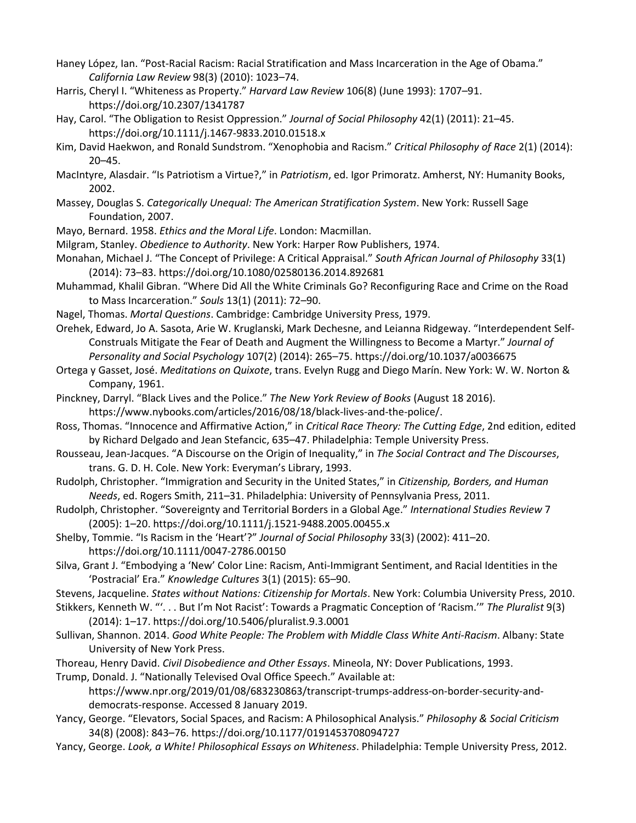- Haney López, Ian. "Post-Racial Racism: Racial Stratification and Mass Incarceration in the Age of Obama." *California Law Review* 98(3) (2010): 1023–74.
- Harris, Cheryl I. "Whiteness as Property." *Harvard Law Review* 106(8) (June 1993): 1707–91. https://doi.org/10.2307/1341787
- Hay, Carol. "The Obligation to Resist Oppression." *Journal of Social Philosophy* 42(1) (2011): 21–45. https://doi.org/10.1111/j.1467-9833.2010.01518.x
- Kim, David Haekwon, and Ronald Sundstrom. "Xenophobia and Racism." *Critical Philosophy of Race* 2(1) (2014): 20–45.
- MacIntyre, Alasdair. "Is Patriotism a Virtue?," in *Patriotism*, ed. Igor Primoratz. Amherst, NY: Humanity Books, 2002.
- Massey, Douglas S. *Categorically Unequal: The American Stratification System*. New York: Russell Sage Foundation, 2007.
- Mayo, Bernard. 1958. *Ethics and the Moral Life*. London: Macmillan.
- Milgram, Stanley. *Obedience to Authority*. New York: Harper Row Publishers, 1974.
- Monahan, Michael J. "The Concept of Privilege: A Critical Appraisal." *South African Journal of Philosophy* 33(1) (2014): 73–83. https://doi.org/10.1080/02580136.2014.892681
- Muhammad, Khalil Gibran. "Where Did All the White Criminals Go? Reconfiguring Race and Crime on the Road to Mass Incarceration." *Souls* 13(1) (2011): 72–90.
- Nagel, Thomas. *Mortal Questions*. Cambridge: Cambridge University Press, 1979.
- Orehek, Edward, Jo A. Sasota, Arie W. Kruglanski, Mark Dechesne, and Leianna Ridgeway. "Interdependent Self-Construals Mitigate the Fear of Death and Augment the Willingness to Become a Martyr." *Journal of Personality and Social Psychology* 107(2) (2014): 265–75. https://doi.org/10.1037/a0036675
- Ortega y Gasset, José. *Meditations on Quixote*, trans. Evelyn Rugg and Diego Marín. New York: W. W. Norton & Company, 1961.
- Pinckney, Darryl. "Black Lives and the Police." *The New York Review of Books* (August 18 2016). https://www.nybooks.com/articles/2016/08/18/black-lives-and-the-police/.
- Ross, Thomas. "Innocence and Affirmative Action," in *Critical Race Theory: The Cutting Edge*, 2nd edition, edited by Richard Delgado and Jean Stefancic, 635–47. Philadelphia: Temple University Press.
- Rousseau, Jean-Jacques. "A Discourse on the Origin of Inequality," in *The Social Contract and The Discourses*, trans. G. D. H. Cole. New York: Everyman's Library, 1993.
- Rudolph, Christopher. "Immigration and Security in the United States," in *Citizenship, Borders, and Human Needs*, ed. Rogers Smith, 211–31. Philadelphia: University of Pennsylvania Press, 2011.
- Rudolph, Christopher. "Sovereignty and Territorial Borders in a Global Age." *International Studies Review* 7 (2005): 1–20. https://doi.org/10.1111/j.1521-9488.2005.00455.x
- Shelby, Tommie. "Is Racism in the 'Heart'?" *Journal of Social Philosophy* 33(3) (2002): 411–20. https://doi.org/10.1111/0047-2786.00150
- Silva, Grant J. "Embodying a 'New' Color Line: Racism, Anti-Immigrant Sentiment, and Racial Identities in the 'Postracial' Era." *Knowledge Cultures* 3(1) (2015): 65–90.
- Stevens, Jacqueline. *States without Nations: Citizenship for Mortals*. New York: Columbia University Press, 2010.
- Stikkers, Kenneth W. "'. . . But I'm Not Racist': Towards a Pragmatic Conception of 'Racism.'" *The Pluralist* 9(3) (2014): 1–17. https://doi.org/10.5406/pluralist.9.3.0001
- Sullivan, Shannon. 2014. *Good White People: The Problem with Middle Class White Anti-Racism*. Albany: State University of New York Press.
- Thoreau, Henry David. *Civil Disobedience and Other Essays*. Mineola, NY: Dover Publications, 1993.
- Trump, Donald. J. "Nationally Televised Oval Office Speech." Available at:

https://www.npr.org/2019/01/08/683230863/transcript-trumps-address-on-border-security-anddemocrats-response. Accessed 8 January 2019.

- Yancy, George. "Elevators, Social Spaces, and Racism: A Philosophical Analysis." *Philosophy & Social Criticism*  34(8) (2008): 843–76. https://doi.org/10.1177/0191453708094727
- Yancy, George. *Look, a White! Philosophical Essays on Whiteness*. Philadelphia: Temple University Press, 2012.